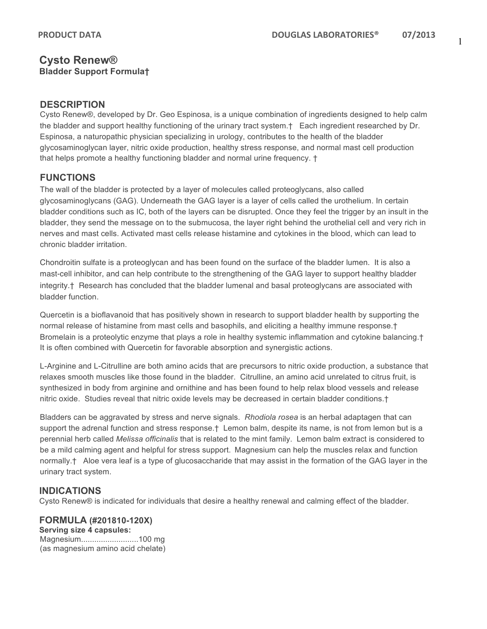# **Cysto Renew® Bladder Support Formula†**

## **DESCRIPTION**

Cysto Renew®, developed by Dr. Geo Espinosa, is a unique combination of ingredients designed to help calm the bladder and support healthy functioning of the urinary tract system.† Each ingredient researched by Dr. Espinosa, a naturopathic physician specializing in urology, contributes to the health of the bladder glycosaminoglycan layer, nitric oxide production, healthy stress response, and normal mast cell production that helps promote a healthy functioning bladder and normal urine frequency. †

# **FUNCTIONS**

The wall of the bladder is protected by a layer of molecules called proteoglycans, also called glycosaminoglycans (GAG). Underneath the GAG layer is a layer of cells called the urothelium. In certain bladder conditions such as IC, both of the layers can be disrupted. Once they feel the trigger by an insult in the bladder, they send the message on to the submucosa, the layer right behind the urothelial cell and very rich in nerves and mast cells. Activated mast cells release histamine and cytokines in the blood, which can lead to chronic bladder irritation.

Chondroitin sulfate is a proteoglycan and has been found on the surface of the bladder lumen. It is also a mast-cell inhibitor, and can help contribute to the strengthening of the GAG layer to support healthy bladder integrity.† Research has concluded that the bladder lumenal and basal proteoglycans are associated with bladder function.

Quercetin is a bioflavanoid that has positively shown in research to support bladder health by supporting the normal release of histamine from mast cells and basophils, and eliciting a healthy immune response.† Bromelain is a proteolytic enzyme that plays a role in healthy systemic inflammation and cytokine balancing.† It is often combined with Quercetin for favorable absorption and synergistic actions.

L-Arginine and L-Citrulline are both amino acids that are precursors to nitric oxide production, a substance that relaxes smooth muscles like those found in the bladder. Citrulline, an amino acid unrelated to citrus fruit, is synthesized in body from arginine and ornithine and has been found to help relax blood vessels and release nitric oxide. Studies reveal that nitric oxide levels may be decreased in certain bladder conditions.†

Bladders can be aggravated by stress and nerve signals. *Rhodiola rosea* is an herbal adaptagen that can support the adrenal function and stress response.<sup>†</sup> Lemon balm, despite its name, is not from lemon but is a perennial herb called *Melissa officinalis* that is related to the mint family. Lemon balm extract is considered to be a mild calming agent and helpful for stress support. Magnesium can help the muscles relax and function normally.† Aloe vera leaf is a type of glucosaccharide that may assist in the formation of the GAG layer in the urinary tract system.

## **INDICATIONS**

Cysto Renew® is indicated for individuals that desire a healthy renewal and calming effect of the bladder.

#### **FORMULA (#201810-120X) Serving size 4 capsules:** Magnesium..........................100 mg (as magnesium amino acid chelate)

1